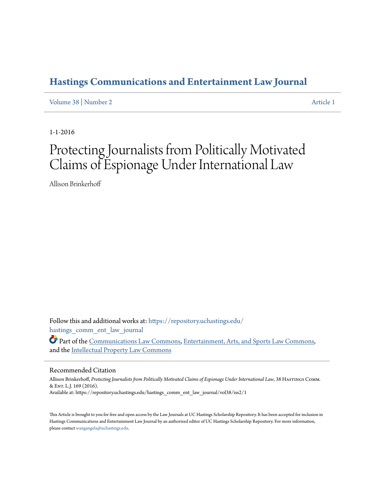# **[Hastings Communications and Entertainment Law Journal](https://repository.uchastings.edu/hastings_comm_ent_law_journal?utm_source=repository.uchastings.edu%2Fhastings_comm_ent_law_journal%2Fvol38%2Fiss2%2F1&utm_medium=PDF&utm_campaign=PDFCoverPages)**

[Volume 38](https://repository.uchastings.edu/hastings_comm_ent_law_journal/vol38?utm_source=repository.uchastings.edu%2Fhastings_comm_ent_law_journal%2Fvol38%2Fiss2%2F1&utm_medium=PDF&utm_campaign=PDFCoverPages) | [Number 2](https://repository.uchastings.edu/hastings_comm_ent_law_journal/vol38/iss2?utm_source=repository.uchastings.edu%2Fhastings_comm_ent_law_journal%2Fvol38%2Fiss2%2F1&utm_medium=PDF&utm_campaign=PDFCoverPages) [Article 1](https://repository.uchastings.edu/hastings_comm_ent_law_journal/vol38/iss2/1?utm_source=repository.uchastings.edu%2Fhastings_comm_ent_law_journal%2Fvol38%2Fiss2%2F1&utm_medium=PDF&utm_campaign=PDFCoverPages)

1-1-2016

# Protecting Journalists from Politically Motivated Claims of Espionage Under International Law

Allison Brinkerhoff

Follow this and additional works at: [https://repository.uchastings.edu/](https://repository.uchastings.edu/hastings_comm_ent_law_journal?utm_source=repository.uchastings.edu%2Fhastings_comm_ent_law_journal%2Fvol38%2Fiss2%2F1&utm_medium=PDF&utm_campaign=PDFCoverPages) [hastings\\_comm\\_ent\\_law\\_journal](https://repository.uchastings.edu/hastings_comm_ent_law_journal?utm_source=repository.uchastings.edu%2Fhastings_comm_ent_law_journal%2Fvol38%2Fiss2%2F1&utm_medium=PDF&utm_campaign=PDFCoverPages)

Part of the [Communications Law Commons,](http://network.bepress.com/hgg/discipline/587?utm_source=repository.uchastings.edu%2Fhastings_comm_ent_law_journal%2Fvol38%2Fiss2%2F1&utm_medium=PDF&utm_campaign=PDFCoverPages) [Entertainment, Arts, and Sports Law Commons,](http://network.bepress.com/hgg/discipline/893?utm_source=repository.uchastings.edu%2Fhastings_comm_ent_law_journal%2Fvol38%2Fiss2%2F1&utm_medium=PDF&utm_campaign=PDFCoverPages) and the [Intellectual Property Law Commons](http://network.bepress.com/hgg/discipline/896?utm_source=repository.uchastings.edu%2Fhastings_comm_ent_law_journal%2Fvol38%2Fiss2%2F1&utm_medium=PDF&utm_campaign=PDFCoverPages)

# Recommended Citation

Allison Brinkerhoff, *Protecting Journalists from Politically Motivated Claims of Espionage Under International Law*, 38 Hastings Comm. & Ent. L.J. 169 (2016). Available at: https://repository.uchastings.edu/hastings\_comm\_ent\_law\_journal/vol38/iss2/1

This Article is brought to you for free and open access by the Law Journals at UC Hastings Scholarship Repository. It has been accepted for inclusion in Hastings Communications and Entertainment Law Journal by an authorized editor of UC Hastings Scholarship Repository. For more information, please contact [wangangela@uchastings.edu.](mailto:wangangela@uchastings.edu)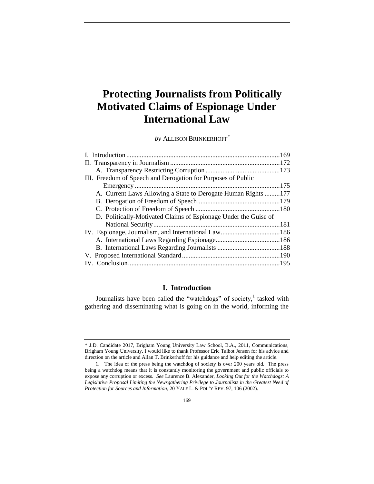# **Protecting Journalists from Politically Motivated Claims of Espionage Under International Law**

*by* ALLISON BRINKERHOFF\*

| III. Freedom of Speech and Derogation for Purposes of Public    |  |
|-----------------------------------------------------------------|--|
|                                                                 |  |
| A. Current Laws Allowing a State to Derogate Human Rights 177   |  |
|                                                                 |  |
|                                                                 |  |
| D. Politically-Motivated Claims of Espionage Under the Guise of |  |
|                                                                 |  |
|                                                                 |  |
|                                                                 |  |
|                                                                 |  |
|                                                                 |  |
|                                                                 |  |
|                                                                 |  |

## **I. Introduction**

Journalists have been called the "watchdogs" of society, $\frac{1}{1}$  tasked with gathering and disseminating what is going on in the world, informing the

<sup>\*</sup> J.D. Candidate 2017, Brigham Young University Law School, B.A., 2011, Communications, Brigham Young University. I would like to thank Professor Eric Talbot Jensen for his advice and direction on the article and Allan T. Brinkerhoff for his guidance and help editing the article.

<sup>1.</sup> The idea of the press being the watchdog of society is over 200 years old. The press being a watchdog means that it is constantly monitoring the government and public officials to expose any corruption or excess. *See* Laurence B. Alexander, *Looking Out for the Watchdogs: A Legislative Proposal Limiting the Newsgathering Privilege to Journalists in the Greatest Need of Protection for Sources and Information*, 20 YALE L. & POL'Y REV. 97, 106 (2002).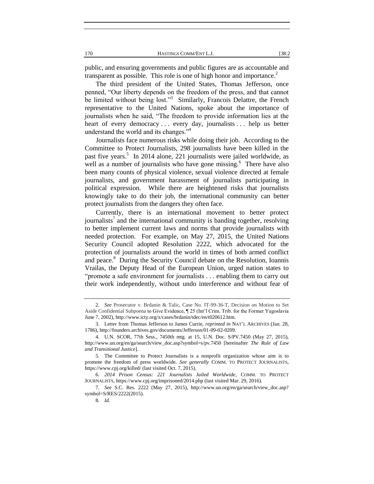public, and ensuring governments and public figures are as accountable and transparent as possible. This role is one of high honor and importance.<sup>2</sup>

The third president of the United States, Thomas Jefferson, once penned, "Our liberty depends on the freedom of the press, and that cannot be limited without being lost."<sup>3</sup> Similarly, Francois Delattre, the French representative to the United Nations, spoke about the importance of journalists when he said, "The freedom to provide information lies at the heart of every democracy ... every day, journalists ... help us better understand the world and its changes."<sup>4</sup>

Journalists face numerous risks while doing their job. According to the Committee to Protect Journalists, 298 journalists have been killed in the past five years.<sup>5</sup> In 2014 alone, 221 journalists were jailed worldwide, as well as a number of journalists who have gone missing.<sup>6</sup> There have also been many counts of physical violence, sexual violence directed at female journalists, and government harassment of journalists participating in political expression. While there are heightened risks that journalists knowingly take to do their job, the international community can better protect journalists from the dangers they often face.

Currently, there is an international movement to better protect journalists<sup>7</sup> and the international community is banding together, resolving to better implement current laws and norms that provide journalists with needed protection. For example, on May 27, 2015, the United Nations Security Council adopted Resolution 2222, which advocated for the protection of journalists around the world in times of both armed conflict and peace.<sup>8</sup> During the Security Council debate on the Resolution, Ioannis Vrailas, the Deputy Head of the European Union, urged nation states to "promote a safe environment for journalists . . . enabling them to carry out their work independently, without undo interference and without fear of

<sup>2</sup>*. See* Prosecutor v. Brdanin & Talic, Case No. IT-99-36-T, Decision on Motion to Set Aside Confidential Subpoena to Give Evidence, ¶ 25 (Int'l Crim. Trib. for the Former Yugoslavia June 7, 2002), http://www.icty.org/x/cases/brdanin/tdec/en/t020612.htm.

<sup>3.</sup> Letter from Thomas Jefferson to James Currie, *reprinted in* NAT'L ARCHIVES (Jan. 28, 1786), http://founders.archives.gov/documents/Jefferson/01-09-02-0209.

<sup>4.</sup> U.N. SCOR, 77th Sess., 7450th mtg. at 15, U.N. Doc. S/PV.7450 (May 27, 2015), http://www.un.org/en/ga/search/view\_doc.asp?symbol=s/pv.7450 [hereinafter *The Rule of Law and Transitional Justice*].

<sup>5.</sup> The Committee to Protect Journalists is a nonprofit organization whose aim is to promote the freedom of press worldwide. *See generally* COMM. TO PROTECT JOURNALISTS, https://www.cpj.org/killed/ (last visited Oct. 7, 2015).

<sup>6</sup>*. 2014 Prison Census: 221 Journalists Jailed Worldwide*, COMM. TO PROTECT JOURNALISTS, https://www.cpj.org/imprisoned/2014.php (last visited Mar. 29, 2016).

<sup>7</sup>*. See* S.C. Res. 2222 (May 27, 2015), http://www.un.org/en/ga/search/view\_doc.asp? symbol=S/RES/2222(2015).

<sup>8</sup>*. Id.*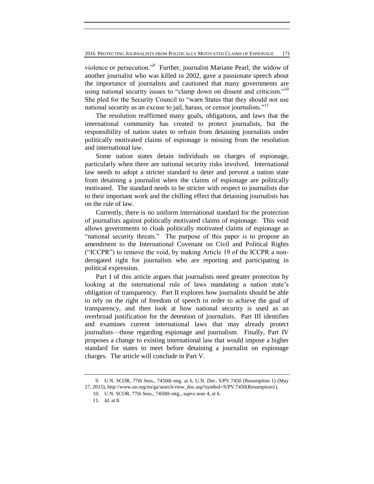violence or persecution."<sup>9</sup> Further, journalist Mariane Pearl, the widow of another journalist who was killed in 2002, gave a passionate speech about the importance of journalists and cautioned that many governments are using national security issues to "clamp down on dissent and criticism."<sup>10</sup> She pled for the Security Council to "warn States that they should not use national security as an excuse to jail, harass, or censor journalists."<sup>11</sup>

The resolution reaffirmed many goals, obligations, and laws that the international community has created to protect journalists, but the responsibility of nation states to refrain from detaining journalists under politically motivated claims of espionage is missing from the resolution and international law.

Some nation states detain individuals on charges of espionage, particularly when there are national security risks involved. International law needs to adopt a stricter standard to deter and prevent a nation state from detaining a journalist when the claims of espionage are politically motivated. The standard needs to be stricter with respect to journalists due to their important work and the chilling effect that detaining journalists has on the rule of law.

Currently, there is no uniform international standard for the protection of journalists against politically motivated claims of espionage. This void allows governments to cloak politically motivated claims of espionage as "national security threats." The purpose of this paper is to propose an amendment to the International Covenant on Civil and Political Rights ("ICCPR") to remove the void, by making Article 19 of the ICCPR a nonderogated right for journalists who are reporting and participating in political expression.

Part I of this article argues that journalists need greater protection by looking at the international rule of laws mandating a nation state's obligation of transparency. Part II explores how journalists should be able to rely on the right of freedom of speech in order to achieve the goal of transparency, and then look at how national security is used as an overbroad justification for the detention of journalists. Part III identifies and examines current international laws that may already protect journalists—those regarding espionage and journalism. Finally, Part IV proposes a change to existing international law that would impose a higher standard for states to meet before detaining a journalist on espionage charges. The article will conclude in Part V.

<sup>9.</sup> U.N. SCOR, 77th Sess., 7450th mtg. at 6, U.N. Doc. S/PV.7450 (Resumption 1) (May 27, 2015), http://www.un.org/en/ga/search/view\_doc.asp?symbol=S/PV.7450(Resumption1).

<sup>10.</sup> U.N. SCOR, 77th Sess., 7450th mtg., *supra* note 4, at 6.

<sup>11</sup>*. Id.* at 8.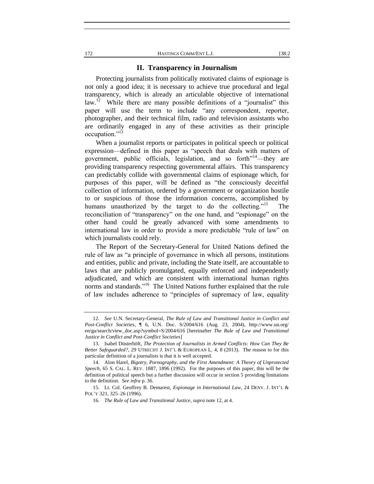#### **II. Transparency in Journalism**

Protecting journalists from politically motivated claims of espionage is not only a good idea; it is necessary to achieve true procedural and legal transparency, which is already an articulable objective of international law.<sup>12</sup> While there are many possible definitions of a "journalist" this paper will use the term to include "any correspondent, reporter, photographer, and their technical film, radio and television assistants who are ordinarily engaged in any of these activities as their principle occupation."<sup>13</sup>

When a journalist reports or participates in political speech or political expression—defined in this paper as "speech that deals with matters of government, public officials, legislation, and so forth $n^{14}$ —they are providing transparency respecting governmental affairs. This transparency can predictably collide with governmental claims of espionage which, for purposes of this paper, will be defined as "the consciously deceitful collection of information, ordered by a government or organization hostile to or suspicious of those the information concerns, accomplished by humans unauthorized by the target to do the collecting."<sup>15</sup> The reconciliation of "transparency" on the one hand, and "espionage" on the other hand could be greatly advanced with some amendments to international law in order to provide a more predictable "rule of law" on which journalists could rely.

The Report of the Secretary-General for United Nations defined the rule of law as "a principle of governance in which all persons, institutions and entities, public and private, including the State itself, are accountable to laws that are publicly promulgated, equally enforced and independently adjudicated, and which are consistent with international human rights norms and standards."<sup>16</sup> The United Nations further explained that the rule of law includes adherence to "principles of supremacy of law, equality

<sup>12</sup>*. See* U.N. Secretary-General, *The Rule of Law and Transitional Justice in Conflict and Post-Conflict Societies*, ¶ 6, U.N. Doc. S/2004/616 (Aug. 23, 2004), http://www.un.org/ en/ga/search/view\_doc.asp?symbol=S/2004/616 [hereinafter *The Rule of Law and Transitional Justice in Conflict and Post-Conflict Societies*]

<sup>13.</sup> Isabel Düsterhöft, *The Protection of Journalists in Armed Conflicts: How Can They Be Better Safeguarded?*, 29 UTRECHT J. INT'L & EUROPEAN L. 4, 8 (2013). The reason to for this particular definition of a journalists is that it is well accepted.

<sup>14.</sup> Alon Harel, *Bigotry, Pornography, and the First Amendment: A Theory of Unprotected Speech*, 65 S. CAL. L. REV. 1887, 1896 (1992). For the purposes of this paper, this will be the definition of political speech but a further discussion will occur in section 5 providing limitations to the definition. *See infra* p. 36.

<sup>15.</sup> Lt. Col. Geoffrey B. Demarest, *Espionage in International Law*, 24 DENV. J. INT'L & POL'Y 321, 325–26 (1996).

<sup>16</sup>*. The Rule of Law and Transitional Justice*, *supra* note 12, at 4.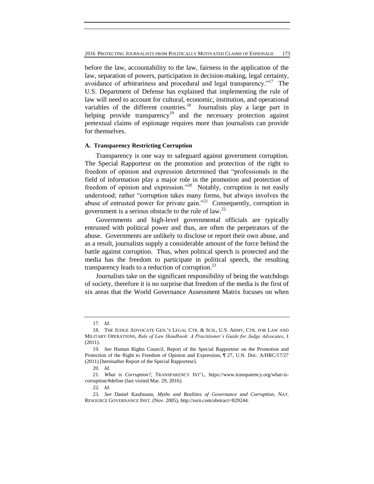before the law, accountability to the law, fairness in the application of the law, separation of powers, participation in decision-making, legal certainty, avoidance of arbitrariness and procedural and legal transparency."<sup>17</sup> The U.S. Department of Defense has explained that implementing the rule of law will need to account for cultural, economic, institution, and operational variables of the different countries.<sup>18</sup> Journalists play a large part in helping provide transparency<sup>19</sup> and the necessary protection against pretextual claims of espionage requires more than journalists can provide for themselves.

#### **A. Transparency Restricting Corruption**

Transparency is one way to safeguard against government corruption. The Special Rapporteur on the promotion and protection of the right to freedom of opinion and expression determined that "professionals in the field of information play a major role in the promotion and protection of freedom of opinion and expression."<sup>20</sup> Notably, corruption is not easily understood; rather "corruption takes many forms, but always involves the abuse of entrusted power for private gain."<sup>21</sup> Consequently, corruption in government is a serious obstacle to the rule of law.<sup>22</sup>

Governments and high-level governmental officials are typically entrusted with political power and thus, are often the perpetrators of the abuse. Governments are unlikely to disclose or report their own abuse, and as a result, journalists supply a considerable amount of the force behind the battle against corruption. Thus, when political speech is protected and the media has the freedom to participate in political speech, the resulting transparency leads to a reduction of corruption.<sup>23</sup>

Journalists take on the significant responsibility of being the watchdogs of society, therefore it is no surprise that freedom of the media is the first of six areas that the World Governance Assessment Matrix focuses on when

<sup>17</sup>*. Id.*

<sup>18.</sup> THE JUDGE ADVOCATE GEN.'S LEGAL CTR. & SCH., U.S. ARMY, CTR. FOR LAW AND MILITARY OPERATIONS, *Rule of Law Handbook: A Practitioner's Guide for Judge Advocates*, 1 (2011).

<sup>19</sup>*. See* Human Rights Council, Report of the Special Rapporteur on the Promotion and Protection of the Right to Freedom of Opinion and Expression, ¶ 27, U.N. Doc. A/HRC/17/27 (2011) [hereinafter Report of the Special Rapporteur].

<sup>20</sup>*. Id.*

<sup>21</sup>*. What is Corruption?*, TRANSPARENCY INT'L, https://www.transparency.org/what-iscorruption/#define (last visited Mar. 29, 2016).

<sup>22</sup>*. Id.*

<sup>23</sup>*. See* Daniel Kaufmann, *Myths and Realities of Governance and Corruption*, NAT. RESOURCE GOVERNANCE INST. (Nov. 2005), http://ssrn.com/abstract=829244.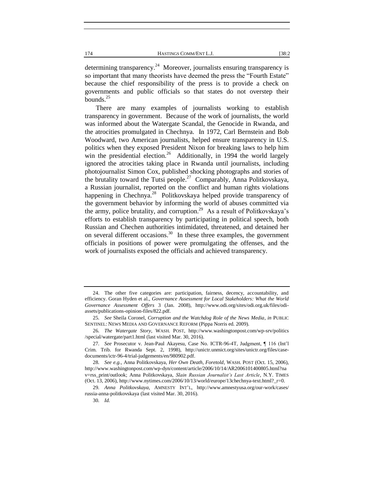determining transparency.<sup>24</sup> Moreover, journalists ensuring transparency is so important that many theorists have deemed the press the "Fourth Estate" because the chief responsibility of the press is to provide a check on governments and public officials so that states do not overstep their bounds.<sup>25</sup>

There are many examples of journalists working to establish transparency in government. Because of the work of journalists, the world was informed about the Watergate Scandal, the Genocide in Rwanda, and the atrocities promulgated in Chechnya. In 1972, Carl Bernstein and Bob Woodward, two American journalists, helped ensure transparency in U.S. politics when they exposed President Nixon for breaking laws to help him win the presidential election.<sup>26</sup> Additionally, in 1994 the world largely ignored the atrocities taking place in Rwanda until journalists, including photojournalist Simon Cox, published shocking photographs and stories of the brutality toward the Tutsi people.<sup>27</sup> Comparably, Anna Politkovskaya, a Russian journalist, reported on the conflict and human rights violations happening in Chechnya.<sup>28</sup> Politkovskaya helped provide transparency of the government behavior by informing the world of abuses committed via the army, police brutality, and corruption.<sup>29</sup> As a result of Politkovskaya's efforts to establish transparency by participating in political speech, both Russian and Chechen authorities intimidated, threatened, and detained her on several different occasions.<sup>30</sup> In these three examples, the government officials in positions of power were promulgating the offenses, and the work of journalists exposed the officials and achieved transparency.

<sup>24.</sup> The other five categories are: participation, fairness, decency, accountability, and efficiency. Goran Hyden et al., *Governance Assessment for Local Stakeholders: What the World Governance Assessment Offers* 3 (Jan. 2008), http://www.odi.org/sites/odi.org.uk/files/odiassets/publications-opinion-files/822.pdf.

<sup>25</sup>*. See* Sheila Coronel, *Corruption and the Watchdog Role of the News Media*, *in* PUBLIC SENTINEL: NEWS MEDIA AND GOVERNANCE REFORM (Pippa Norris ed. 2009).

<sup>26</sup>*. The Watergate Story*, WASH. POST, http://www.washingtonpost.com/wp-srv/politics /special/watergate/part1.html (last visited Mar. 30, 2016).

<sup>27</sup>*. See* Prosecutor v. Jean-Paul Akayesu, Case No. ICTR-96-4T, Judgment, ¶ 116 (Int'l Crim. Trib. for Rwanda Sept. 2, 1998), http://unictr.unmict.org/sites/unictr.org/files/casedocuments/ictr-96-4/trial-judgements/en/980902.pdf.

<sup>28</sup>*. See e.g.,* Anna Politkovskaya, *Her Own Death, Foretold*, WASH. POST (Oct. 15, 2006), http://www.washingtonpost.com/wp-dyn/content/article/2006/10/14/AR2006101400805.html?na v=rss\_print/outlook; Anna Politkovskaya, *Slain Russian Journalist's Last Article*, N.Y. TIMES (Oct. 13, 2006), http://www.nytimes.com/2006/10/13/world/europe/13chechnya-text.html?\_r=0.

<sup>29</sup>*. Anna Politkovskaya*, AMNESTY INT'L, http://www.amnestyusa.org/our-work/cases/ russia-anna-politkovskaya (last visited Mar. 30, 2016).

<sup>30</sup>*. Id.*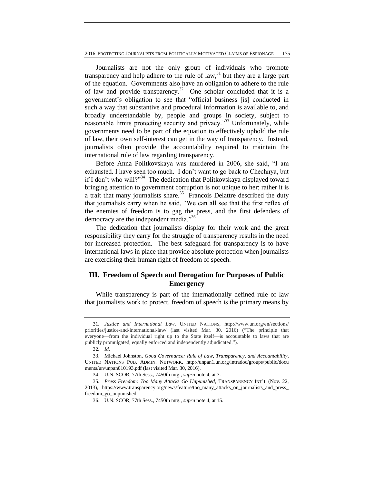2016 PROTECTING JOURNALISTS FROM POLITICALLY MOTIVATED CLAIMS OF ESPIONAGE 175

Journalists are not the only group of individuals who promote transparency and help adhere to the rule of  $law<sub>31</sub><sup>31</sup>$  but they are a large part of the equation. Governments also have an obligation to adhere to the rule of law and provide transparency.<sup>32</sup> One scholar concluded that it is a government's obligation to see that "official business [is] conducted in such a way that substantive and procedural information is available to, and broadly understandable by, people and groups in society, subject to reasonable limits protecting security and privacy."<sup>33</sup> Unfortunately, while governments need to be part of the equation to effectively uphold the rule of law, their own self-interest can get in the way of transparency. Instead, journalists often provide the accountability required to maintain the international rule of law regarding transparency.

Before Anna Politkovskaya was murdered in 2006, she said, "I am exhausted. I have seen too much. I don't want to go back to Chechnya, but if I don't who will?"<sup>34</sup> The dedication that Politkovskaya displayed toward bringing attention to government corruption is not unique to her; rather it is a trait that many journalists share.<sup>35</sup> Francois Delattre described the duty that journalists carry when he said, "We can all see that the first reflex of the enemies of freedom is to gag the press, and the first defenders of democracy are the independent media."36

The dedication that journalists display for their work and the great responsibility they carry for the struggle of transparency results in the need for increased protection. The best safeguard for transparency is to have international laws in place that provide absolute protection when journalists are exercising their human right of freedom of speech.

# **III. Freedom of Speech and Derogation for Purposes of Public Emergency**

While transparency is part of the internationally defined rule of law that journalists work to protect, freedom of speech is the primary means by

<sup>31</sup>*. Justice and International Law*, UNITED NATIONS, http://www.un.org/en/sections/ priorities/justice-and-international-law/ (last visited Mar. 30, 2016) ("The principle that everyone—from the individual right up to the State itself—is accountable to laws that are publicly promulgated, equally enforced and independently adjudicated.").

<sup>32</sup>*. Id.*

<sup>33.</sup> Michael Johnston, *Good Governance: Rule of Law, Transparency, and Accountability*, UNITED NATIONS PUB. ADMIN. NETWORK, http://unpan1.un.org/intradoc/groups/public/docu ments/un/unpan010193.pdf (last visited Mar. 30, 2016).

<sup>34.</sup> U.N. SCOR, 77th Sess., 7450th mtg., *supra* note 4, at 7.

<sup>35</sup>*. Press Freedom: Too Many Attacks Go Unpunished*, TRANSPARENCY INT'L (Nov. 22, 2013), https://www.transparency.org/news/feature/too\_many\_attacks\_on\_journalists\_and\_press\_ freedom\_go\_unpunished.

<sup>36.</sup> U.N. SCOR, 77th Sess., 7450th mtg., *supra* note 4, at 15.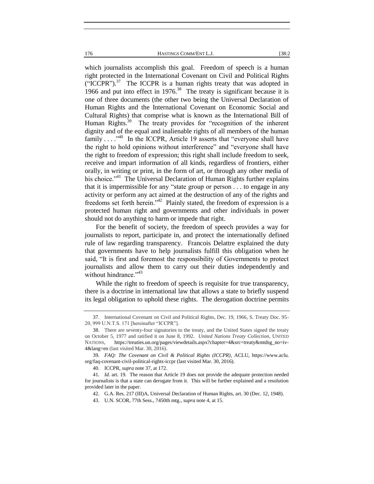which journalists accomplish this goal. Freedom of speech is a human right protected in the International Covenant on Civil and Political Rights  $("ICCPR")$ .<sup>37</sup> The ICCPR is a human rights treaty that was adopted in 1966 and put into effect in  $1976$ <sup>38</sup>. The treaty is significant because it is one of three documents (the other two being the Universal Declaration of Human Rights and the International Covenant on Economic Social and Cultural Rights) that comprise what is known as the International Bill of Human Rights.<sup>39</sup> The treaty provides for "recognition of the inherent dignity and of the equal and inalienable rights of all members of the human family  $\dots$ <sup>40</sup> In the ICCPR, Article 19 asserts that "everyone shall have the right to hold opinions without interference" and "everyone shall have the right to freedom of expression; this right shall include freedom to seek, receive and impart information of all kinds, regardless of frontiers, either orally, in writing or print, in the form of art, or through any other media of his choice."<sup>41</sup> The Universal Declaration of Human Rights further explains that it is impermissible for any "state group or person . . . to engage in any activity or perform any act aimed at the destruction of any of the rights and freedoms set forth herein."<sup>42</sup> Plainly stated, the freedom of expression is a protected human right and governments and other individuals in power should not do anything to harm or impede that right.

For the benefit of society, the freedom of speech provides a way for journalists to report, participate in, and protect the internationally defined rule of law regarding transparency. Francois Delattre explained the duty that governments have to help journalists fulfill this obligation when he said, "It is first and foremost the responsibility of Governments to protect journalists and allow them to carry out their duties independently and without hindrance." $43$ 

While the right to freedom of speech is requisite for true transparency, there is a doctrine in international law that allows a state to briefly suspend its legal obligation to uphold these rights. The derogation doctrine permits

<sup>37.</sup> International Covenant on Civil and Political Rights, Dec. 19, 1966, S. Treaty Doc. 95- 20, 999 U.N.T.S. 171 [hereinafter "ICCPR"].

<sup>38.</sup> There are seventy-four signatories to the treaty, and the United States signed the treaty on October 5, 1977 and ratified it on June 8, 1992. *United Nations Treaty Collection*, UNITED NATIONS, https://treaties.un.org/pages/viewdetails.aspx?chapter=4&src=treaty&mtdsg\_no=iv-4&lang=en (last visited Mar. 30, 2016).

<sup>39</sup>*. FAQ: The Covenant on Civil & Political Rights (ICCPR)*, ACLU, https://www.aclu. org/faq-covenant-civil-political-rights-iccpr (last visited Mar. 30, 2016).

<sup>40.</sup> ICCPR, *supra* note 37, at 172.

<sup>41</sup>*. Id.* art. 19. The reason that Article 19 does not provide the adequate protection needed for journalists is that a state can derogate from it. This will be further explained and a resolution provided later in the paper.

<sup>42.</sup> G.A. Res. 217 (III)A, Universal Declaration of Human Rights, art. 30 (Dec. 12, 1948).

<sup>43.</sup> U.N. SCOR, 77th Sess., 7450th mtg., *supra* note 4, at 15.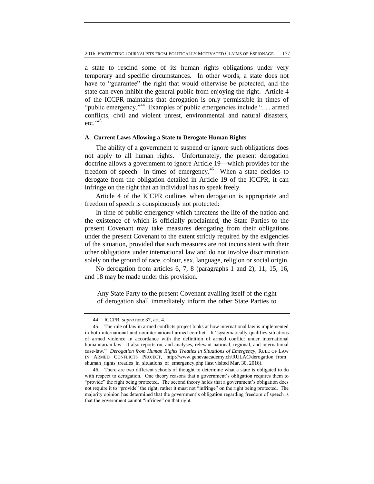a state to rescind some of its human rights obligations under very temporary and specific circumstances. In other words, a state does not have to "guarantee" the right that would otherwise be protected, and the state can even inhibit the general public from enjoying the right. Article 4 of the ICCPR maintains that derogation is only permissible in times of "public emergency."<sup>44</sup> Examples of public emergencies include "... armed conflicts, civil and violent unrest, environmental and natural disasters,  $etc.$ <sup>"45</sup>

# **A. Current Laws Allowing a State to Derogate Human Rights**

The ability of a government to suspend or ignore such obligations does not apply to all human rights. Unfortunately, the present derogation doctrine allows a government to ignore Article 19—which provides for the freedom of speech—in times of emergency.<sup>46</sup> When a state decides to derogate from the obligation detailed in Article 19 of the ICCPR, it can infringe on the right that an individual has to speak freely.

Article 4 of the ICCPR outlines when derogation is appropriate and freedom of speech is conspicuously not protected:

In time of public emergency which threatens the life of the nation and the existence of which is officially proclaimed, the State Parties to the present Covenant may take measures derogating from their obligations under the present Covenant to the extent strictly required by the exigencies of the situation, provided that such measures are not inconsistent with their other obligations under international law and do not involve discrimination solely on the ground of race, colour, sex, language, religion or social origin.

No derogation from articles 6, 7, 8 (paragraphs 1 and 2), 11, 15, 16, and 18 may be made under this provision.

Any State Party to the present Covenant availing itself of the right of derogation shall immediately inform the other State Parties to

<sup>44.</sup> ICCPR, *supra* note 37, art. 4.

<sup>45.</sup> The rule of law in armed conflicts project looks at how international law is implemented in both international and noninternational armed conflict. It "systematically qualifies situations of armed violence in accordance with the definition of armed conflict under international humanitarian law. It also reports on, and analyses, relevant national, regional, and international case-law." *Derogation from Human Rights Treaties in Situations of Emergency*, RULE OF LAW IN ARMED CONFLICTS PROJECT, http://www.genevaacademy.ch/RULAC/derogation\_from\_ shuman\_rights\_treaties\_in\_situations\_of\_emergency.php (last visited Mar. 30, 2016).

<sup>46.</sup> There are two different schools of thought to determine what a state is obligated to do with respect to derogation. One theory reasons that a government's obligation requires them to "provide" the right being protected. The second theory holds that a government's obligation does not require it to "provide" the right, rather it must not "infringe" on the right being protected. The majority opinion has determined that the government's obligation regarding freedom of speech is that the government cannot "infringe" on that right.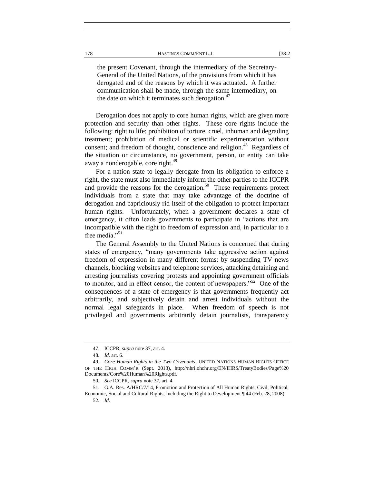the present Covenant, through the intermediary of the Secretary-General of the United Nations, of the provisions from which it has derogated and of the reasons by which it was actuated. A further communication shall be made, through the same intermediary, on the date on which it terminates such derogation. $47$ 

Derogation does not apply to core human rights, which are given more protection and security than other rights. These core rights include the following: right to life; prohibition of torture, cruel, inhuman and degrading treatment; prohibition of medical or scientific experimentation without consent; and freedom of thought, conscience and religion.<sup>48</sup> Regardless of the situation or circumstance, no government, person, or entity can take away a nonderogable, core right.<sup>49</sup>

For a nation state to legally derogate from its obligation to enforce a right, the state must also immediately inform the other parties to the ICCPR and provide the reasons for the derogation.<sup>50</sup> These requirements protect individuals from a state that may take advantage of the doctrine of derogation and capriciously rid itself of the obligation to protect important human rights. Unfortunately, when a government declares a state of emergency, it often leads governments to participate in "actions that are incompatible with the right to freedom of expression and, in particular to a free media."<sup>51</sup>

The General Assembly to the United Nations is concerned that during states of emergency, "many governments take aggressive action against freedom of expression in many different forms: by suspending TV news channels, blocking websites and telephone services, attacking detaining and arresting journalists covering protests and appointing government officials to monitor, and in effect censor, the content of newspapers."<sup>52</sup> One of the consequences of a state of emergency is that governments frequently act arbitrarily, and subjectively detain and arrest individuals without the normal legal safeguards in place. When freedom of speech is not privileged and governments arbitrarily detain journalists, transparency

<sup>47.</sup> ICCPR, *supra* note 37, art. 4.

<sup>48</sup>*. Id.* art. 6.

<sup>49</sup>*. Core Human Rights in the Two Covenants*, UNITED NATIONS HUMAN RIGHTS OFFICE OF THE HIGH COMM'R (Sept. 2013), http://nhri.ohchr.org/EN/IHRS/TreatyBodies/Page%20 Documents/Core%20Human%20Rights.pdf.

<sup>50</sup>*. See* ICCPR, *supra* note 37, art. 4.

<sup>51.</sup> G.A. Res. A/HRC/7/14, Promotion and Protection of All Human Rights, Civil, Political, Economic, Social and Cultural Rights, Including the Right to Development ¶ 44 (Feb. 28, 2008). 52*. Id.*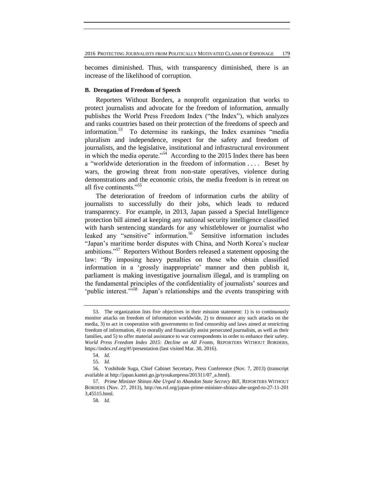becomes diminished. Thus, with transparency diminished, there is an increase of the likelihood of corruption.

#### **B. Derogation of Freedom of Speech**

Reporters Without Borders, a nonprofit organization that works to protect journalists and advocate for the freedom of information, annually publishes the World Press Freedom Index ("the Index"), which analyzes and ranks countries based on their protection of the freedoms of speech and information.<sup>53</sup> To determine its rankings, the Index examines "media pluralism and independence, respect for the safety and freedom of journalists, and the legislative, institutional and infrastructural environment in which the media operate."<sup>54</sup> According to the 2015 Index there has been a "worldwide deterioration in the freedom of information . . . . Beset by wars, the growing threat from non-state operatives, violence during demonstrations and the economic crisis, the media freedom is in retreat on all five continents."<sup>55</sup>

The deterioration of freedom of information curbs the ability of journalists to successfully do their jobs, which leads to reduced transparency. For example, in 2013, Japan passed a Special Intelligence protection bill aimed at keeping any national security intelligence classified with harsh sentencing standards for any whistleblower or journalist who leaked any "sensitive" information.<sup>56</sup> Sensitive information includes "Japan's maritime border disputes with China, and North Korea's nuclear ambitions."<sup>57</sup> Reporters Without Borders released a statement opposing the law: "By imposing heavy penalties on those who obtain classified information in a 'grossly inappropriate' manner and then publish it, parliament is making investigative journalism illegal, and is trampling on the fundamental principles of the confidentiality of journalists' sources and 'public interest.'<sup>558</sup> Japan's relationships and the events transpiring with

<sup>53.</sup> The organization lists five objectives in their mission statement: 1) is to continuously monitor attacks on freedom of information worldwide, 2) to denounce any such attacks on the media, 3) to act in cooperation with governments to find censorship and laws aimed at restricting freedom of information, 4) to morally and financially assist persecuted journalists, as well as their families, and 5) to offer material assistance to war correspondents in order to enhance their safety. *World Press Freedom Index 2015: Decline on All Fronts*, REPORTERS WITHOUT BORDERS, https://index.rsf.org/#!/presentation (last visited Mar. 30, 2016).

<sup>54</sup>*. Id.*

<sup>55</sup>*. Id.*

<sup>56.</sup> Yoshihide Suga, Chief Cabinet Secretary, Press Conference (Nov. 7, 2013) (transcript available at http://japan.kantei.go.jp/tyoukanpress/201311/07\_a.html).

<sup>57</sup>*. Prime Minister Shinzo Abe Urged to Abandon State Secrecy Bill*, REPORTERS WITHOUT BORDERS (Nov. 27, 2013), http://en.rsf.org/japan-prime-minister-shinzo-abe-urged-to-27-11-201 3,45515.html.

<sup>58</sup>*. Id.*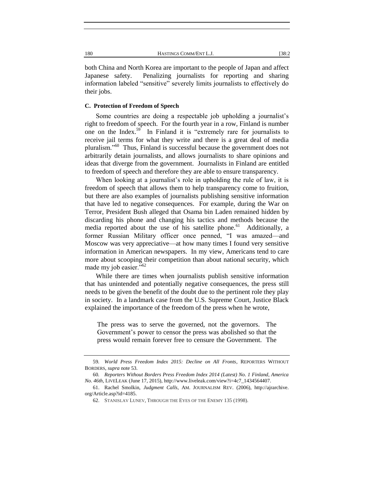both China and North Korea are important to the people of Japan and affect Japanese safety. Penalizing journalists for reporting and sharing information labeled "sensitive" severely limits journalists to effectively do their jobs.

#### **C. Protection of Freedom of Speech**

Some countries are doing a respectable job upholding a journalist's right to freedom of speech. For the fourth year in a row, Finland is number one on the Index.<sup>59</sup> In Finland it is "extremely rare for journalists to receive jail terms for what they write and there is a great deal of media pluralism."<sup>60</sup> Thus, Finland is successful because the government does not arbitrarily detain journalists, and allows journalists to share opinions and ideas that diverge from the government. Journalists in Finland are entitled to freedom of speech and therefore they are able to ensure transparency.

When looking at a journalist's role in upholding the rule of law, it is freedom of speech that allows them to help transparency come to fruition, but there are also examples of journalists publishing sensitive information that have led to negative consequences. For example, during the War on Terror, President Bush alleged that Osama bin Laden remained hidden by discarding his phone and changing his tactics and methods because the media reported about the use of his satellite phone.<sup>61</sup> Additionally, a former Russian Military officer once penned, "I was amazed—and Moscow was very appreciative—at how many times I found very sensitive information in American newspapers. In my view, Americans tend to care more about scooping their competition than about national security, which made my job easier."<sup>62</sup>

While there are times when journalists publish sensitive information that has unintended and potentially negative consequences, the press still needs to be given the benefit of the doubt due to the pertinent role they play in society. In a landmark case from the U.S. Supreme Court, Justice Black explained the importance of the freedom of the press when he wrote,

The press was to serve the governed, not the governors. The Government's power to censor the press was abolished so that the press would remain forever free to censure the Government. The

<sup>59</sup>*. World Press Freedom Index 2015: Decline on All Fronts*, REPORTERS WITHOUT BORDERS, *supra* note 53.

<sup>60</sup>*. Reporters Without Borders Press Freedom Index 2014 (Latest) No. 1 Finland, America No. 46th*, LIVELEAK (June 17, 2015), http://www.liveleak.com/view?i=4c7\_1434564407.

<sup>61.</sup> Rachel Smolkin, *Judgment Calls*, AM. JOURNALISM REV. (2006), http://ajrarchive. org/Article.asp?id=4185.

<sup>62.</sup> STANISLAV LUNEV, THROUGH THE EYES OF THE ENEMY 135 (1998).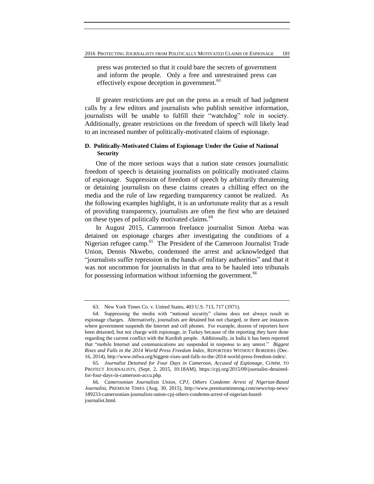press was protected so that it could bare the secrets of government and inform the people. Only a free and unrestrained press can effectively expose deception in government.<sup>63</sup>

If greater restrictions are put on the press as a result of bad judgment calls by a few editors and journalists who publish sensitive information, journalists will be unable to fulfill their "watchdog" role in society. Additionally, greater restrictions on the freedom of speech will likely lead to an increased number of politically-motivated claims of espionage.

# **D. Politically-Motivated Claims of Espionage Under the Guise of National Security**

One of the more serious ways that a nation state censors journalistic freedom of speech is detaining journalists on politically motivated claims of espionage. Suppression of freedom of speech by arbitrarily threatening or detaining journalists on these claims creates a chilling effect on the media and the rule of law regarding transparency cannot be realized. As the following examples highlight, it is an unfortunate reality that as a result of providing transparency, journalists are often the first who are detained on these types of politically motivated claims.<sup>64</sup>

In August 2015, Cameroon freelance journalist Simon Ateba was detained on espionage charges after investigating the conditions of a Nigerian refugee camp.<sup>65</sup> The President of the Cameroon Journalist Trade Union, Dennis Nkwebo, condemned the arrest and acknowledged that "journalists suffer repression in the hands of military authorities" and that it was not uncommon for journalists in that area to be hauled into tribunals for possessing information without informing the government.<sup>66</sup>

<sup>63.</sup> New York Times Co. v. United States, 403 U.S. 713, 717 (1971).

<sup>64.</sup> Suppressing the media with "national security" claims does not always result in espionage charges. Alternatively, journalists are detained but not charged, or there are instances where government suspends the Internet and cell phones. For example, dozens of reporters have been detained, but not charge with espionage, in Turkey because of the reporting they have done regarding the current conflict with the Kurdish people. Additionally, in India it has been reported that "mobile Internet and communications are suspended in response to any unrest." *Biggest Rises and Falls in the 2014 World Press Freedom Index*, REPORTERS WITHOUT BORDERS (Dec. 16, 2014), http://www.mfwa.org/biggest-rises-and-falls-in-the-2014-world-press-freedom-index/.

<sup>65</sup>*. Journalist Detained for Four Days in Cameroon, Accused of Espionage*, COMM. TO PROTECT JOURNALISTS, (Sept. 2, 2015, 10:18AM), https://cpj.org/2015/09/journalist-detainedfor-four-days-in-cameroon-accu.php.

<sup>66</sup>*. Cameroonian Journalists Union, CPJ, Others Condemn Arrest of Nigerian-Based Journalist*, PREMIUM TIMES (Aug. 30, 2015), http://www.premiumtimesng.com/news/top-news/ 189233-cameroonian-journalists-union-cpj-others-condemn-arrest-of-nigerian-basedjournalist.html.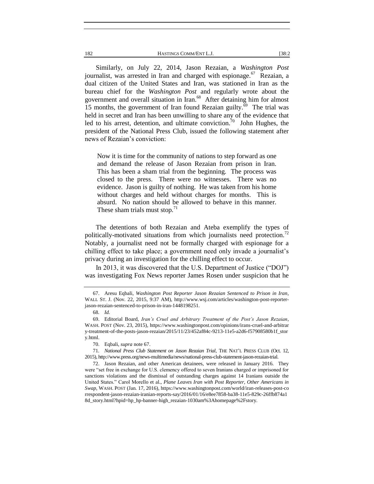Similarly, on July 22, 2014, Jason Rezaian, a *Washington Post* journalist, was arrested in Iran and charged with espionage.<sup>67</sup> Rezaian, a dual citizen of the United States and Iran, was stationed in Iran as the bureau chief for the *Washington Post* and regularly wrote about the government and overall situation in Iran.<sup>68</sup> After detaining him for almost 15 months, the government of Iran found Rezaian guilty. $\overline{6}$ <sup>9</sup> The trial was held in secret and Iran has been unwilling to share any of the evidence that led to his arrest, detention, and ultimate conviction.<sup>70</sup> John Hughes, the president of the National Press Club, issued the following statement after news of Rezaian's conviction:

Now it is time for the community of nations to step forward as one and demand the release of Jason Rezaian from prison in Iran. This has been a sham trial from the beginning. The process was closed to the press. There were no witnesses. There was no evidence. Jason is guilty of nothing. He was taken from his home without charges and held without charges for months. This is absurd. No nation should be allowed to behave in this manner. These sham trials must stop. $11$ 

The detentions of both Rezaian and Ateba exemplify the types of politically-motivated situations from which journalists need protection.<sup>72</sup> Notably, a journalist need not be formally charged with espionage for a chilling effect to take place; a government need only invade a journalist's privacy during an investigation for the chilling effect to occur.

In 2013, it was discovered that the U.S. Department of Justice ("DOJ") was investigating Fox News reporter James Rosen under suspicion that he

71*. National Press Club Statement on Jason Rezaian Trial*, THE NAT'L PRESS CLUB (Oct. 12, 2015), http://www.press.org/news-multimedia/news/national-press-club-statement-jason-rezaian-trial.

72. Jason Rezaian, and other American detainees, were released in January 2016. They were "set free in exchange for U.S. clemency offered to seven Iranians charged or imprisoned for sanctions violations and the dismissal of outstanding charges against 14 Iranians outside the United States." Carol Morello et al., *Plane Leaves Iran with Post Reporter, Other Americans in Swap*, WASH. POST (Jan. 17, 2016), https://www.washingtonpost.com/world/iran-releases-post-co rrespondent-jason-rezaian-iranian-reports-say/2016/01/16/e8ee7858-ba38-11e5-829c-26ffb874a1 8d\_story.html?hpid=hp\_hp-banner-high\_rezaian-1030am%3Ahomepage%2Fstory.

<sup>67.</sup> Aresu Eqbali, *Washington Post Reporter Jason Rezaian Sentenced to Prison in Iran*, WALL ST. J. (Nov. 22, 2015, 9:37 AM), http://www.wsj.com/articles/washington-post-reporterjason-rezaian-sentenced-to-prison-in-iran-1448198251.

<sup>68</sup>*. Id.*

<sup>69.</sup> Editorial Board, *Iran's Cruel and Arbitrary Treatment of the Post's Jason Rezaian*, WASH. POST (Nov. 23, 2015), https://www.washingtonpost.com/opinions/irans-cruel-and-arbitrar y-treatment-of-the-posts-jason-rezaian/2015/11/23/452af84c-9213-11e5-a2d6-f57908580b1f\_stor y.html.

<sup>70.</sup> Eqbali, *supra* note 67.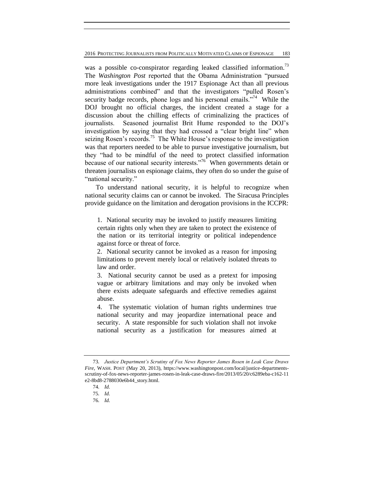2016 PROTECTING JOURNALISTS FROM POLITICALLY MOTIVATED CLAIMS OF ESPIONAGE 183

was a possible co-conspirator regarding leaked classified information.<sup>73</sup> The *Washington Post* reported that the Obama Administration "pursued more leak investigations under the 1917 Espionage Act than all previous administrations combined" and that the investigators "pulled Rosen's security badge records, phone logs and his personal emails."<sup>74</sup> While the DOJ brought no official charges, the incident created a stage for a discussion about the chilling effects of criminalizing the practices of journalists. Seasoned journalist Brit Hume responded to the DOJ's investigation by saying that they had crossed a "clear bright line" when seizing Rosen's records.<sup>75</sup> The White House's response to the investigation was that reporters needed to be able to pursue investigative journalism, but they "had to be mindful of the need to protect classified information because of our national security interests."<sup>76</sup> When governments detain or threaten journalists on espionage claims, they often do so under the guise of "national security."

To understand national security, it is helpful to recognize when national security claims can or cannot be invoked. The Siracusa Principles provide guidance on the limitation and derogation provisions in the ICCPR:

1. National security may be invoked to justify measures limiting certain rights only when they are taken to protect the existence of the nation or its territorial integrity or political independence against force or threat of force.

2. National security cannot be invoked as a reason for imposing limitations to prevent merely local or relatively isolated threats to law and order.

3. National security cannot be used as a pretext for imposing vague or arbitrary limitations and may only be invoked when there exists adequate safeguards and effective remedies against abuse.

4. The systematic violation of human rights undermines true national security and may jeopardize international peace and security. A state responsible for such violation shall not invoke national security as a justification for measures aimed at

<sup>73</sup>*. Justice Department's Scrutiny of Fox News Reporter James Rosen in Leak Case Draws Fire*, WASH. POST (May 20, 2013), https://www.washingtonpost.com/local/justice-departmentsscrutiny-of-fox-news-reporter-james-rosen-in-leak-case-draws-fire/2013/05/20/c6289eba-c162-11 e2-8bd8-2788030e6b44\_story.html.

<sup>74</sup>*. Id.*

<sup>75</sup>*. Id.*

<sup>76</sup>*. Id.*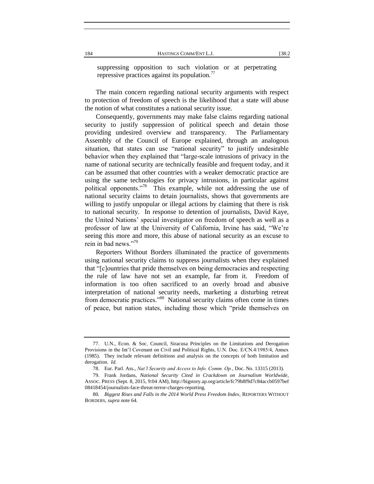suppressing opposition to such violation or at perpetrating repressive practices against its population. $^{77}$ 

The main concern regarding national security arguments with respect to protection of freedom of speech is the likelihood that a state will abuse the notion of what constitutes a national security issue.

Consequently, governments may make false claims regarding national security to justify suppression of political speech and detain those providing undesired overview and transparency. The Parliamentary Assembly of the Council of Europe explained, through an analogous situation, that states can use "national security" to justify undesirable behavior when they explained that "large-scale intrusions of privacy in the name of national security are technically feasible and frequent today, and it can be assumed that other countries with a weaker democratic practice are using the same technologies for privacy intrusions, in particular against political opponents."<sup>78</sup> This example, while not addressing the use of national security claims to detain journalists, shows that governments are willing to justify unpopular or illegal actions by claiming that there is risk to national security. In response to detention of journalists, David Kaye, the United Nations' special investigator on freedom of speech as well as a professor of law at the University of California, Irvine has said, "We're seeing this more and more, this abuse of national security as an excuse to rein in bad news."79

Reporters Without Borders illuminated the practice of governments using national security claims to suppress journalists when they explained that "[c]ountries that pride themselves on being democracies and respecting the rule of law have not set an example, far from it. Freedom of information is too often sacrificed to an overly broad and abusive interpretation of national security needs, marketing a disturbing retreat from democratic practices."<sup>80</sup> National security claims often come in times of peace, but nation states, including those which "pride themselves on

<sup>77.</sup> U.N., Econ. & Soc. Council, Siracusa Principles on the Limitations and Derogation Provisions in the Int'l Covenant on Civil and Political Rights, U.N. Doc. E/CN.4/1985/4, Annex (1985). They include relevant definitions and analysis on the concepts of both limitation and derogation. *Id.*

<sup>78.</sup> Eur. Parl. Ass., *Nat'l Security and Access to Info. Comm. Op.*, Doc. No. 13315 (2013).

<sup>79.</sup> Frank Jordans, *National Security Cited in Crackdown on Journalism Worldwide*, ASSOC. PRESS (Sept. 8, 2015, 9:04 AM), http://bigstory.ap.org/article/fc79b8f9d7c84accb0597bef 08418454/journalists-face-threat-terror-charges-reporting.

<sup>80</sup>*. Biggest Rises and Falls in the 2014 World Press Freedom Index*, REPORTERS WITHOUT BORDERS, *supra* note 64.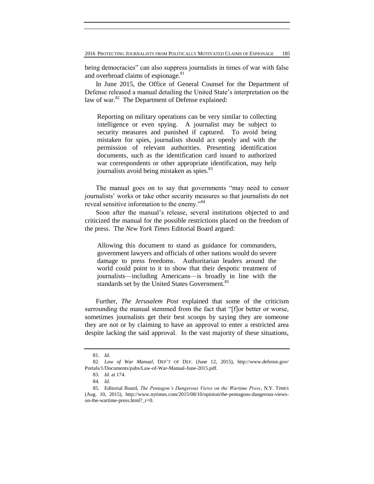being democracies" can also suppress journalists in times of war with false and overbroad claims of espionage.<sup>81</sup>

In June 2015, the Office of General Counsel for the Department of Defense released a manual detailing the United State's interpretation on the law of war. $82$  The Department of Defense explained:

Reporting on military operations can be very similar to collecting intelligence or even spying. A journalist may be subject to security measures and punished if captured. To avoid being mistaken for spies, journalists should act openly and with the permission of relevant authorities. Presenting identification documents, such as the identification card issued to authorized war correspondents or other appropriate identification, may help journalists avoid being mistaken as spies.<sup>83</sup>

The manual goes on to say that governments "may need to censor journalists' works or take other security measures so that journalists do not reveal sensitive information to the enemy."<sup>84</sup>

Soon after the manual's release, several institutions objected to and criticized the manual for the possible restrictions placed on the freedom of the press. The *New York Times* Editorial Board argued:

Allowing this document to stand as guidance for commanders, government lawyers and officials of other nations would do severe damage to press freedoms. Authoritarian leaders around the world could point to it to show that their despotic treatment of journalists—including Americans—is broadly in line with the standards set by the United States Government.<sup>85</sup>

Further, *The Jerusalem Post* explained that some of the criticism surrounding the manual stemmed from the fact that "[f]or better or worse, sometimes journalists get their best scoops by saying they are someone they are not or by claiming to have an approval to enter a restricted area despite lacking the said approval. In the vast majority of these situations,

<sup>81</sup>*. Id.*

<sup>82</sup>*. Law of War Manual*, DEP'T OF DEF. (June 12, 2015), http://www.defense.gov/ Portals/1/Documents/pubs/Law-of-War-Manual-June-2015.pdf.

<sup>83</sup>*. Id.* at 174.

<sup>84</sup>*. Id.*

<sup>85.</sup> Editorial Board, *The Pentagon's Dangerous Views on the Wartime Press*, N.Y. TIMES (Aug. 10, 2015), http://www.nytimes.com/2015/08/10/opinion/the-pentagons-dangerous-viewson-the-wartime-press.html?\_r=0.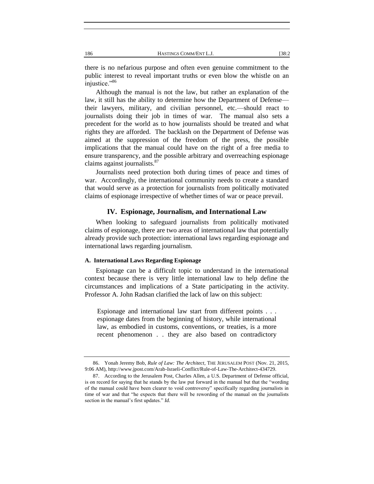there is no nefarious purpose and often even genuine commitment to the public interest to reveal important truths or even blow the whistle on an injustice."<sup>86</sup>

Although the manual is not the law, but rather an explanation of the law, it still has the ability to determine how the Department of Defense their lawyers, military, and civilian personnel, etc.—should react to journalists doing their job in times of war. The manual also sets a precedent for the world as to how journalists should be treated and what rights they are afforded. The backlash on the Department of Defense was aimed at the suppression of the freedom of the press, the possible implications that the manual could have on the right of a free media to ensure transparency, and the possible arbitrary and overreaching espionage claims against journalists. $87$ 

Journalists need protection both during times of peace and times of war. Accordingly, the international community needs to create a standard that would serve as a protection for journalists from politically motivated claims of espionage irrespective of whether times of war or peace prevail.

# **IV. Espionage, Journalism, and International Law**

When looking to safeguard journalists from politically motivated claims of espionage, there are two areas of international law that potentially already provide such protection: international laws regarding espionage and international laws regarding journalism.

#### **A. International Laws Regarding Espionage**

Espionage can be a difficult topic to understand in the international context because there is very little international law to help define the circumstances and implications of a State participating in the activity. Professor A. John Radsan clarified the lack of law on this subject:

Espionage and international law start from different points . . . espionage dates from the beginning of history, while international law, as embodied in customs, conventions, or treaties, is a more recent phenomenon . . they are also based on contradictory

<sup>86.</sup> Yonah Jeremy Bob, *Rule of Law: The Architect*, THE JERUSALEM POST (Nov. 21, 2015, 9:06 AM), http://www.jpost.com/Arab-Israeli-Conflict/Rule-of-Law-The-Architect-434729.

<sup>87.</sup> According to the Jerusalem Post, Charles Allen, a U.S. Department of Defense official, is on record for saying that he stands by the law put forward in the manual but that the "wording of the manual could have been clearer to void controversy" specifically regarding journalists in time of war and that "he expects that there will be rewording of the manual on the journalists section in the manual's first updates." *Id.*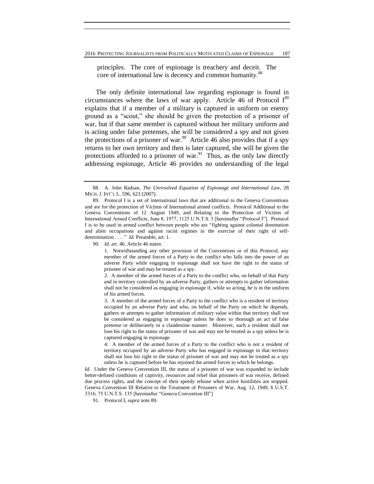principles. The core of espionage is treachery and deceit. The core of international law is decency and common humanity.<sup>88</sup>

The only definite international law regarding espionage is found in circumstances where the laws of war apply. Article 46 of Protocol  $I^{89}$ explains that if a member of a military is captured in uniform on enemy ground as a "scout," she should be given the protection of a prisoner of war, but if that same member is captured without her military uniform and is acting under false pretenses, she will be considered a spy and not given the protections of a prisoner of war.<sup>90</sup> Article 46 also provides that if a spy returns to her own territory and then is later captured, she will be given the protections afforded to a prisoner of war. $91$  Thus, as the only law directly addressing espionage, Article 46 provides no understanding of the legal

90*. Id.* art. 46. Article 46 states:

 4. A member of the armed forces of a Party to the conflict who is not a resident of territory occupied by an adverse Party who has engaged in espionage in that territory shall not lose his right to the status of prisoner of war and may not be treated as a spy unless he is captured before he has rejoined the armed forces to which he belongs.

*Id.* Under the Geneva Convention III, the status of a prisoner of war was expanded to include better-defined conditions of captivity, resources and relief that prisoners of war receive, defined due process rights, and the concept of their speedy release when active hostilities are stopped. Geneva Convention III Relative to the Treatment of Prisoners of War, Aug. 12, 1949, 6 U.S.T. 3316, 75 U.N.T.S. 135 [hereinafter "Geneva Convention III"]

91. Protocol I, *supra* note 89.

<sup>88.</sup> A. John Radsan, *The Unresolved Equation of Espionage and International Law*, 28 MICH. J. INT'L L. 596, 623 (2007).

<sup>89.</sup> Protocol I is a set of international laws that are additional to the Geneva Conventions and are for the protection of Victims of International armed conflicts. Protocol Additional to the Geneva Conventions of 12 August 1949, and Relating to the Protection of Victims of International Armed Conflicts, June 8, 1977, 1125 U.N.T.S. 3 [hereinafter "Protocol I"]. Protocol I is to be used in armed conflict between people who are "fighting against colonial domination and alien occupations and against racist regimes in the exercise of their right of selfdetermination . . . ." *Id.* Preamble, art. 1.

 <sup>1.</sup> Notwithstanding any other provision of the Conventions or of this Protocol, any member of the armed forces of a Party to the conflict who falls into the power of an adverse Party while engaging in espionage shall not have the right to the status of prisoner of war and may be treated as a spy.

 <sup>2.</sup> A member of the armed forces of a Party to the conflict who, on behalf of that Party and in territory controlled by an adverse Party, gathers or attempts to gather information shall not be considered as engaging in espionage if, while so acting, he is in the uniform of his armed forces.

 <sup>3.</sup> A member of the armed forces of a Party to the conflict who is a resident of territory occupied by an adverse Party and who, on behalf of the Party on which he depends, gathers or attempts to gather information of military value within that territory shall not be considered as engaging in espionage unless he does so thorough an act of false pretense or deliberately in a clandestine manner. Moreover, such a resident shall not lose his right to the status of prisoner of war and may not be treated as a spy unless he is captured engaging in espionage.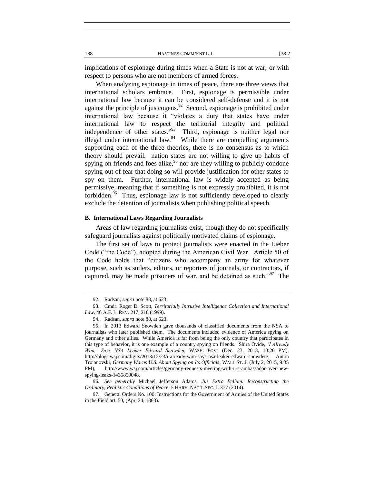implications of espionage during times when a State is not at war, or with respect to persons who are not members of armed forces.

When analyzing espionage in times of peace, there are three views that international scholars embrace. First, espionage is permissible under international law because it can be considered self-defense and it is not against the principle of jus cogens. $92$  Second, espionage is prohibited under international law because it "violates a duty that states have under international law to respect the territorial integrity and political independence of other states."<sup>93</sup> Third, espionage is neither legal nor illegal under international law.  $94$  While there are compelling arguments supporting each of the three theories, there is no consensus as to which theory should prevail. nation states are not willing to give up habits of spying on friends and foes alike,<sup>95</sup> nor are they willing to publicly condone spying out of fear that doing so will provide justification for other states to spy on them. Further, international law is widely accepted as being permissive, meaning that if something is not expressly prohibited, it is not forbidden.<sup>96</sup> Thus, espionage law is not sufficiently developed to clearly exclude the detention of journalists when publishing political speech.

#### **B. International Laws Regarding Journalists**

Areas of law regarding journalists exist, though they do not specifically safeguard journalists against politically motivated claims of espionage.

The first set of laws to protect journalists were enacted in the Lieber Code ("the Code"), adopted during the American Civil War. Article 50 of the Code holds that "citizens who accompany an army for whatever purpose, such as sutlers, editors, or reporters of journals, or contractors, if captured, may be made prisoners of war, and be detained as such."<sup>97</sup> The

<sup>92.</sup> Radsan, *supra* note 88, at 623.

<sup>93.</sup> Cmdr. Roger D. Scott, *Territorially Intrusive Intelligence Collection and International Law*, 46 A.F. L. REV. 217, 218 (1999).

<sup>94.</sup> Radsan, *supra* note 88, at 623.

<sup>95.</sup> In 2013 Edward Snowden gave thousands of classified documents from the NSA to journalists who later published them. The documents included evidence of America spying on Germany and other allies. While America is far from being the only country that participates in this type of behavior, it is one example of a country spying on friends. Shira Ovide, *'I Already Won,' Says NSA Leaker Edward Snowden*, WASH. POST (Dec. 23, 2013, 10:26 PM), http://blogs.wsj.com/digits/2013/12/23/i-already-won-says-nsa-leaker-edward-snowden/; Anton Troianovski, *Germany Warns U.S. About Spying on Its Officials*, WALL ST. J. (July 2, 2015, 9:35 PM), http://www.wsj.com/articles/germany-requests-meeting-with-u-s-ambassador-over-newspying-leaks-1435850048.

<sup>96</sup>*. See generally* Michael Jefferson Adams, *Jus Extra Bellum: Reconstructing the Ordinary, Realistic Conditions of Peace*, 5 HARV. NAT'L SEC. J. 377 (2014).

<sup>97.</sup> General Orders No. 100: Instructions for the Government of Armies of the United States in the Field art. 50, (Apr. 24, 1863).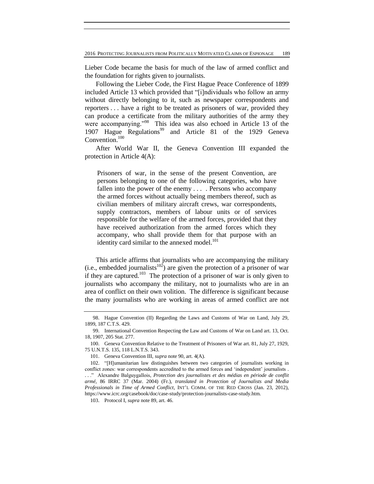Lieber Code became the basis for much of the law of armed conflict and the foundation for rights given to journalists.

Following the Lieber Code, the First Hague Peace Conference of 1899 included Article 13 which provided that "[i]ndividuals who follow an army without directly belonging to it, such as newspaper correspondents and reporters . . . have a right to be treated as prisoners of war, provided they can produce a certificate from the military authorities of the army they were accompanying."<sup>98</sup> This idea was also echoed in Article 13 of the 1907 Hague Regulations<sup>99</sup> and Article 81 of the 1929 Geneva Convention.<sup>100</sup>

After World War II, the Geneva Convention III expanded the protection in Article 4(A):

Prisoners of war, in the sense of the present Convention, are persons belonging to one of the following categories, who have fallen into the power of the enemy ... . Persons who accompany the armed forces without actually being members thereof, such as civilian members of military aircraft crews, war correspondents, supply contractors, members of labour units or of services responsible for the welfare of the armed forces, provided that they have received authorization from the armed forces which they accompany, who shall provide them for that purpose with an identity card similar to the annexed model.<sup>101</sup>

This article affirms that journalists who are accompanying the military (i.e., embedded journalists<sup>102</sup>) are given the protection of a prisoner of war if they are captured.<sup>103</sup> The protection of a prisoner of war is only given to journalists who accompany the military, not to journalists who are in an area of conflict on their own volition. The difference is significant because the many journalists who are working in areas of armed conflict are not

<sup>98.</sup> Hague Convention (II) Regarding the Laws and Customs of War on Land, July 29, 1899, 187 C.T.S. 429.

<sup>99.</sup> International Convention Respecting the Law and Customs of War on Land art. 13, Oct. 18, 1907, 205 Stat. 277.

<sup>100.</sup> Geneva Convention Relative to the Treatment of Prisoners of War art. 81, July 27, 1929, 75 U.N.T.S. 135, 118 L.N.T.S. 343.

<sup>101.</sup> Geneva Convention III, *supra* note 90, art. 4(A).

<sup>102.</sup> "[H]umanitarian law distinguishes between two categories of journalists working in conflict zones: war correspondents accredited to the armed forces and 'independent' journalists . . . ." Alexandre Balguygallois, *Protection des journalistes et des médias en période de conflit armé*, 86 IRRC 37 (Mar. 2004) (Fr.), *translated in Protection of Journalists and Media Professionals in Time of Armed Conflict*, INT'L COMM. OF THE RED CROSS (Jan. 23, 2012), https://www.icrc.org/casebook/doc/case-study/protection-journalists-case-study.htm.

<sup>103.</sup> Protocol I, *supra* note 89, art. 46.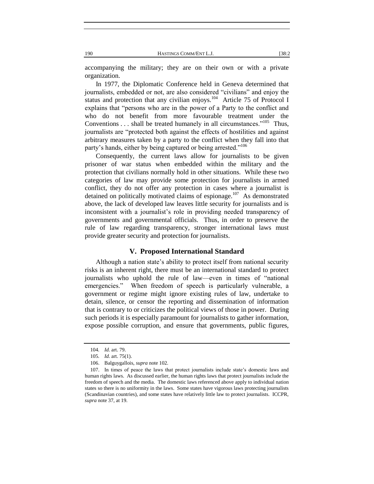accompanying the military; they are on their own or with a private organization.

In 1977, the Diplomatic Conference held in Geneva determined that journalists, embedded or not, are also considered "civilians" and enjoy the status and protection that any civilian enjoys.<sup>104</sup> Article 75 of Protocol I explains that "persons who are in the power of a Party to the conflict and who do not benefit from more favourable treatment under the Conventions  $\dots$  shall be treated humanely in all circumstances."<sup>105</sup> Thus, journalists are "protected both against the effects of hostilities and against arbitrary measures taken by a party to the conflict when they fall into that party's hands, either by being captured or being arrested."<sup>106</sup>

Consequently, the current laws allow for journalists to be given prisoner of war status when embedded within the military and the protection that civilians normally hold in other situations. While these two categories of law may provide some protection for journalists in armed conflict, they do not offer any protection in cases where a journalist is detained on politically motivated claims of espionage.<sup>107</sup> As demonstrated above, the lack of developed law leaves little security for journalists and is inconsistent with a journalist's role in providing needed transparency of governments and governmental officials. Thus, in order to preserve the rule of law regarding transparency, stronger international laws must provide greater security and protection for journalists.

# **V. Proposed International Standard**

Although a nation state's ability to protect itself from national security risks is an inherent right, there must be an international standard to protect journalists who uphold the rule of law—even in times of "national emergencies." When freedom of speech is particularly vulnerable, a government or regime might ignore existing rules of law, undertake to detain, silence, or censor the reporting and dissemination of information that is contrary to or criticizes the political views of those in power. During such periods it is especially paramount for journalists to gather information, expose possible corruption, and ensure that governments, public figures,

<sup>104</sup>*. Id.* art. 79.

<sup>105</sup>*. Id.* art. 75(1).

<sup>106.</sup> Balguygallois, *supra* note 102.

<sup>107.</sup> In times of peace the laws that protect journalists include state's domestic laws and human rights laws. As discussed earlier, the human rights laws that protect journalists include the freedom of speech and the media. The domestic laws referenced above apply to individual nation states so there is no uniformity in the laws. Some states have vigorous laws protecting journalists (Scandinavian countries), and some states have relatively little law to protect journalists. ICCPR, *supra* note 37, at 19.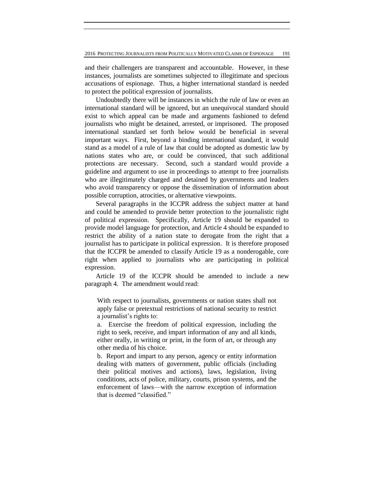and their challengers are transparent and accountable. However, in these instances, journalists are sometimes subjected to illegitimate and specious accusations of espionage. Thus, a higher international standard is needed to protect the political expression of journalists.

Undoubtedly there will be instances in which the rule of law or even an international standard will be ignored, but an unequivocal standard should exist to which appeal can be made and arguments fashioned to defend journalists who might be detained, arrested, or imprisoned. The proposed international standard set forth below would be beneficial in several important ways. First, beyond a binding international standard, it would stand as a model of a rule of law that could be adopted as domestic law by nations states who are, or could be convinced, that such additional protections are necessary. Second, such a standard would provide a guideline and argument to use in proceedings to attempt to free journalists who are illegitimately charged and detained by governments and leaders who avoid transparency or oppose the dissemination of information about possible corruption, atrocities, or alternative viewpoints.

Several paragraphs in the ICCPR address the subject matter at hand and could be amended to provide better protection to the journalistic right of political expression. Specifically, Article 19 should be expanded to provide model language for protection, and Article 4 should be expanded to restrict the ability of a nation state to derogate from the right that a journalist has to participate in political expression. It is therefore proposed that the ICCPR be amended to classify Article 19 as a nonderogable, core right when applied to journalists who are participating in political expression.

Article 19 of the ICCPR should be amended to include a new paragraph 4. The amendment would read:

With respect to journalists, governments or nation states shall not apply false or pretextual restrictions of national security to restrict a journalist's rights to:

a. Exercise the freedom of political expression, including the right to seek, receive, and impart information of any and all kinds, either orally, in writing or print, in the form of art, or through any other media of his choice.

b. Report and impart to any person, agency or entity information dealing with matters of government, public officials (including their political motives and actions), laws, legislation, living conditions, acts of police, military, courts, prison systems, and the enforcement of laws—with the narrow exception of information that is deemed "classified."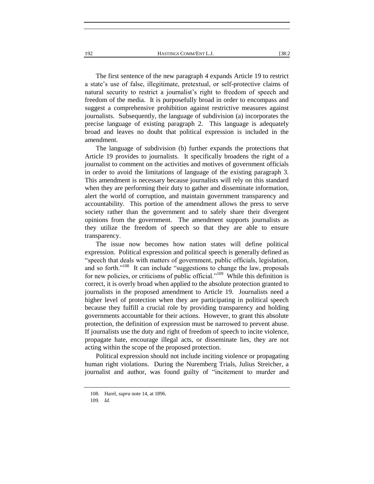The first sentence of the new paragraph 4 expands Article 19 to restrict a state's use of false, illegitimate, pretextual, or self-protective claims of natural security to restrict a journalist's right to freedom of speech and freedom of the media. It is purposefully broad in order to encompass and suggest a comprehensive prohibition against restrictive measures against journalists. Subsequently, the language of subdivision (a) incorporates the precise language of existing paragraph 2. This language is adequately broad and leaves no doubt that political expression is included in the amendment.

The language of subdivision (b) further expands the protections that Article 19 provides to journalists. It specifically broadens the right of a journalist to comment on the activities and motives of government officials in order to avoid the limitations of language of the existing paragraph 3. This amendment is necessary because journalists will rely on this standard when they are performing their duty to gather and disseminate information, alert the world of corruption, and maintain government transparency and accountability. This portion of the amendment allows the press to serve society rather than the government and to safely share their divergent opinions from the government. The amendment supports journalists as they utilize the freedom of speech so that they are able to ensure transparency.

The issue now becomes how nation states will define political expression. Political expression and political speech is generally defined as "speech that deals with matters of government, public officials, legislation, and so forth."<sup>108</sup> It can include "suggestions to change the law, proposals for new policies, or criticisms of public official."<sup>109</sup> While this definition is correct, it is overly broad when applied to the absolute protection granted to journalists in the proposed amendment to Article 19. Journalists need a higher level of protection when they are participating in political speech because they fulfill a crucial role by providing transparency and holding governments accountable for their actions. However, to grant this absolute protection, the definition of expression must be narrowed to prevent abuse. If journalists use the duty and right of freedom of speech to incite violence, propagate hate, encourage illegal acts, or disseminate lies, they are not acting within the scope of the proposed protection.

Political expression should not include inciting violence or propagating human right violations. During the Nuremberg Trials, Julius Streicher, a journalist and author, was found guilty of "incitement to murder and

<sup>108.</sup> Harel, *supra* note 14, at 1896.

<sup>109</sup>*. Id.*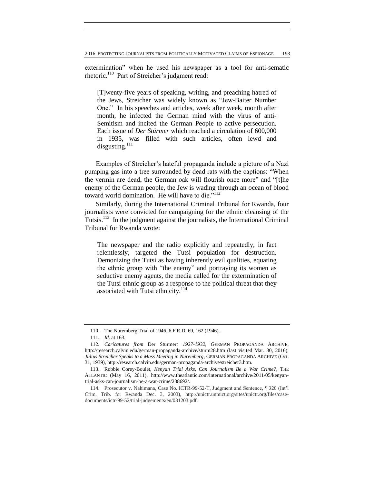extermination" when he used his newspaper as a tool for anti-sematic rhetoric.<sup>110</sup> Part of Streicher's judgment read:

[T]wenty-five years of speaking, writing, and preaching hatred of the Jews, Streicher was widely known as "Jew-Baiter Number One." In his speeches and articles, week after week, month after month, he infected the German mind with the virus of anti-Semitism and incited the German People to active persecution. Each issue of *Der Stürmer* which reached a circulation of 600,000 in 1935, was filled with such articles, often lewd and disgusting.<sup>111</sup>

Examples of Streicher's hateful propaganda include a picture of a Nazi pumping gas into a tree surrounded by dead rats with the captions: "When the vermin are dead, the German oak will flourish once more" and "[t]he enemy of the German people, the Jew is wading through an ocean of blood toward world domination. He will have to die."<sup>112</sup>

Similarly, during the International Criminal Tribunal for Rwanda, four journalists were convicted for campaigning for the ethnic cleansing of the Tutsis.<sup>113</sup> In the judgment against the journalists, the International Criminal Tribunal for Rwanda wrote:

The newspaper and the radio explicitly and repeatedly, in fact relentlessly, targeted the Tutsi population for destruction. Demonizing the Tutsi as having inherently evil qualities, equating the ethnic group with "the enemy" and portraying its women as seductive enemy agents, the media called for the extermination of the Tutsi ethnic group as a response to the political threat that they associated with Tutsi ethnicity.<sup>114</sup>

<sup>110.</sup> The Nuremberg Trial of 1946, 6 F.R.D. 69, 162 (1946).

<sup>111</sup>*. Id.* at 163.

<sup>112</sup>*. Caricatures from* Der Stürmer*: 1927-1932*, GERMAN PROPAGANDA ARCHIVE, http://research.calvin.edu/german-propaganda-archive/sturm28.htm (last visited Mar. 30, 2016); *Julius Streicher Speaks to a Mass Meeting in Nuremberg*, GERMAN PROPAGANDA ARCHIVE (Oct. 31, 1939), http://research.calvin.edu/german-propaganda-archive/streicher3.htm.

<sup>113.</sup> Robbie Corey-Boulet, *Kenyan Trial Asks, Can Journalism Be a War Crime?*, THE ATLANTIC (May 16, 2011), http://www.theatlantic.com/international/archive/2011/05/kenyantrial-asks-can-journalism-be-a-war-crime/238692/.

<sup>114.</sup> Prosecutor v. Nahimana, Case No. ICTR-99-52-T, Judgment and Sentence, ¶ 320 (Int'l Crim. Trib. for Rwanda Dec. 3, 2003), http://unictr.unmict.org/sites/unictr.org/files/casedocuments/ictr-99-52/trial-judgements/en/031203.pdf.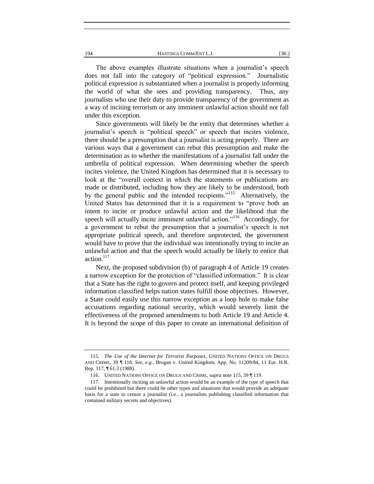The above examples illustrate situations when a journalist's speech does not fall into the category of "political expression." Journalistic political expression is substantiated when a journalist is properly informing the world of what she sees and providing transparency. Thus, any journalists who use their duty to provide transparency of the government as a way of inciting terrorism or any imminent unlawful action should not fall under this exception.

Since governments will likely be the entity that determines whether a journalist's speech is "political speech" or speech that incites violence, there should be a presumption that a journalist is acting properly. There are various ways that a government can rebut this presumption and make the determination as to whether the manifestations of a journalist fall under the umbrella of political expression. When determining whether the speech incites violence, the United Kingdom has determined that it is necessary to look at the "overall context in which the statements or publications are made or distributed, including how they are likely to be understood, both by the general public and the intended recipients."<sup>115</sup> Alternatively, the United States has determined that it is a requirement to "prove both an intent to incite or produce unlawful action and the likelihood that the speech will actually incite imminent unlawful action."<sup>116</sup> Accordingly, for a government to rebut the presumption that a journalist's speech is not appropriate political speech, and therefore unprotected, the government would have to prove that the individual was intentionally trying to incite an unlawful action and that the speech would actually be likely to entice that action.<sup>117</sup>

Next, the proposed subdivision (b) of paragraph 4 of Article 19 creates a narrow exception for the protection of "classified information." It is clear that a State has the right to govern and protect itself, and keeping privileged information classified helps nation states fulfill those objectives. However, a State could easily use this narrow exception as a loop hole to make false accusations regarding national security, which would severely limit the effectiveness of the proposed amendments to both Article 19 and Article 4. It is beyond the scope of this paper to create an international definition of

<sup>115</sup>*. The Use of the Internet for Terrorist Purposes*, UNITED NATIONS OFFICE ON DRUGS AND CRIME, 39 ¶ 118. *See, e.g.,* Brogan v. United Kingdom, App. No. 11209/84, 11 Eur. H.R. Rep. 117, ¶ 61.3 (1988).

<sup>116.</sup> UNITED NATIONS OFFICE ON DRUGS AND CRIME, *supra* note 115, 39 ¶ 119.

<sup>117.</sup> Intentionally inciting an unlawful action would be an example of the type of speech that could be prohibited but there could be other types and situations that would provide an adequate basis for a state to censor a journalist (i.e., a journalists publishing classified information that contained military secrets and objectives).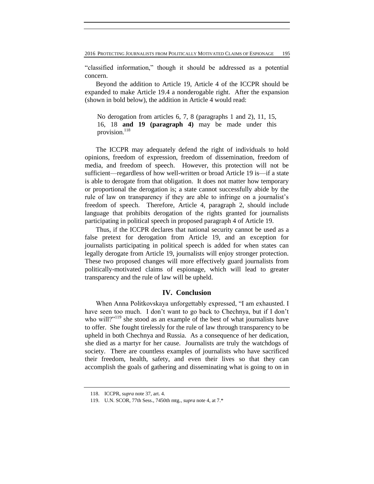2016 PROTECTING JOURNALISTS FROM POLITICALLY MOTIVATED CLAIMS OF ESPIONAGE 195

"classified information," though it should be addressed as a potential concern.

Beyond the addition to Article 19, Article 4 of the ICCPR should be expanded to make Article 19.4 a nonderogable right. After the expansion (shown in bold below), the addition in Article 4 would read:

No derogation from articles 6, 7, 8 (paragraphs 1 and 2), 11, 15, 16, 18 **and 19 (paragraph 4)** may be made under this provision. 118

The ICCPR may adequately defend the right of individuals to hold opinions, freedom of expression, freedom of dissemination, freedom of media, and freedom of speech. However, this protection will not be sufficient—regardless of how well-written or broad Article 19 is—if a state is able to derogate from that obligation. It does not matter how temporary or proportional the derogation is; a state cannot successfully abide by the rule of law on transparency if they are able to infringe on a journalist's freedom of speech. Therefore, Article 4, paragraph 2, should include language that prohibits derogation of the rights granted for journalists participating in political speech in proposed paragraph 4 of Article 19.

Thus, if the ICCPR declares that national security cannot be used as a false pretext for derogation from Article 19, and an exception for journalists participating in political speech is added for when states can legally derogate from Article 19, journalists will enjoy stronger protection. These two proposed changes will more effectively guard journalists from politically-motivated claims of espionage, which will lead to greater transparency and the rule of law will be upheld.

# **IV. Conclusion**

When Anna Politkovskaya unforgettably expressed, "I am exhausted. I have seen too much. I don't want to go back to Chechnya, but if I don't who will?"<sup>119</sup> she stood as an example of the best of what journalists have to offer. She fought tirelessly for the rule of law through transparency to be upheld in both Chechnya and Russia. As a consequence of her dedication, she died as a martyr for her cause. Journalists are truly the watchdogs of society. There are countless examples of journalists who have sacrificed their freedom, health, safety, and even their lives so that they can accomplish the goals of gathering and disseminating what is going to on in

<sup>118.</sup> ICCPR, *supra* note 37, art. 4.

<sup>119.</sup> U.N. SCOR, 77th Sess., 7450th mtg., *supra* note 4, at 7.\*